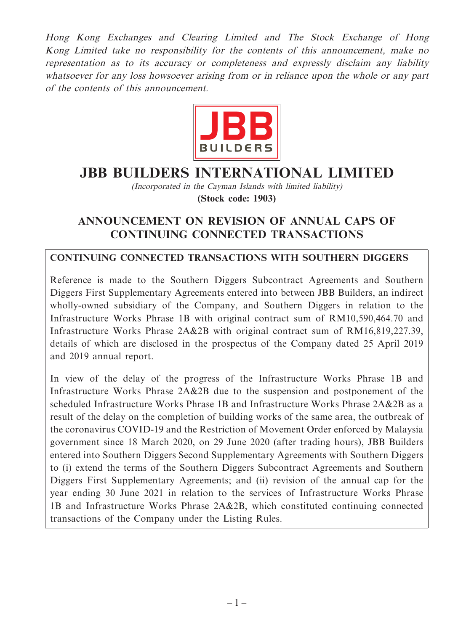Hong Kong Exchanges and Clearing Limited and The Stock Exchange of Hong Kong Limited take no responsibility for the contents of this announcement, make no representation as to its accuracy or completeness and expressly disclaim any liability whatsoever for any loss howsoever arising from or in reliance upon the whole or any part of the contents of this announcement.



# **JBB BUILDERS INTERNATIONAL LIMITED**

(Incorporated in the Cayman Islands with limited liability) **(Stock code: 1903)**

# **ANNOUNCEMENT ON REVISION OF ANNUAL CAPS OF CONTINUING CONNECTED TRANSACTIONS**

### **CONTINUING CONNECTED TRANSACTIONS WITH SOUTHERN DIGGERS**

Reference is made to the Southern Diggers Subcontract Agreements and Southern Diggers First Supplementary Agreements entered into between JBB Builders, an indirect wholly-owned subsidiary of the Company, and Southern Diggers in relation to the Infrastructure Works Phrase 1B with original contract sum of RM10,590,464.70 and Infrastructure Works Phrase 2A&2B with original contract sum of RM16,819,227.39, details of which are disclosed in the prospectus of the Company dated 25 April 2019 and 2019 annual report.

In view of the delay of the progress of the Infrastructure Works Phrase 1B and Infrastructure Works Phrase 2A&2B due to the suspension and postponement of the scheduled Infrastructure Works Phrase 1B and Infrastructure Works Phrase 2A&2B as a result of the delay on the completion of building works of the same area, the outbreak of the coronavirus COVID-19 and the Restriction of Movement Order enforced by Malaysia government since 18 March 2020, on 29 June 2020 (after trading hours), JBB Builders entered into Southern Diggers Second Supplementary Agreements with Southern Diggers to (i) extend the terms of the Southern Diggers Subcontract Agreements and Southern Diggers First Supplementary Agreements; and (ii) revision of the annual cap for the year ending 30 June 2021 in relation to the services of Infrastructure Works Phrase 1B and Infrastructure Works Phrase 2A&2B, which constituted continuing connected transactions of the Company under the Listing Rules.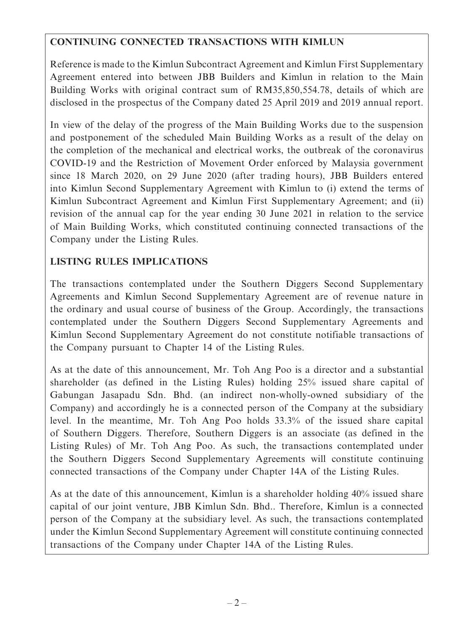## **CONTINUING CONNECTED TRANSACTIONS WITH KIMLUN**

Reference is made to the Kimlun Subcontract Agreement and Kimlun First Supplementary Agreement entered into between JBB Builders and Kimlun in relation to the Main Building Works with original contract sum of RM35,850,554.78, details of which are disclosed in the prospectus of the Company dated 25 April 2019 and 2019 annual report.

In view of the delay of the progress of the Main Building Works due to the suspension and postponement of the scheduled Main Building Works as a result of the delay on the completion of the mechanical and electrical works, the outbreak of the coronavirus COVID-19 and the Restriction of Movement Order enforced by Malaysia government since 18 March 2020, on 29 June 2020 (after trading hours), JBB Builders entered into Kimlun Second Supplementary Agreement with Kimlun to (i) extend the terms of Kimlun Subcontract Agreement and Kimlun First Supplementary Agreement; and (ii) revision of the annual cap for the year ending 30 June 2021 in relation to the service of Main Building Works, which constituted continuing connected transactions of the Company under the Listing Rules.

## **LISTING RULES IMPLICATIONS**

The transactions contemplated under the Southern Diggers Second Supplementary Agreements and Kimlun Second Supplementary Agreement are of revenue nature in the ordinary and usual course of business of the Group. Accordingly, the transactions contemplated under the Southern Diggers Second Supplementary Agreements and Kimlun Second Supplementary Agreement do not constitute notifiable transactions of the Company pursuant to Chapter 14 of the Listing Rules.

As at the date of this announcement, Mr. Toh Ang Poo is a director and a substantial shareholder (as defined in the Listing Rules) holding 25% issued share capital of Gabungan Jasapadu Sdn. Bhd. (an indirect non-wholly-owned subsidiary of the Company) and accordingly he is a connected person of the Company at the subsidiary level. In the meantime, Mr. Toh Ang Poo holds 33.3% of the issued share capital of Southern Diggers. Therefore, Southern Diggers is an associate (as defined in the Listing Rules) of Mr. Toh Ang Poo. As such, the transactions contemplated under the Southern Diggers Second Supplementary Agreements will constitute continuing connected transactions of the Company under Chapter 14A of the Listing Rules.

As at the date of this announcement, Kimlun is a shareholder holding 40% issued share capital of our joint venture, JBB Kimlun Sdn. Bhd.. Therefore, Kimlun is a connected person of the Company at the subsidiary level. As such, the transactions contemplated under the Kimlun Second Supplementary Agreement will constitute continuing connected transactions of the Company under Chapter 14A of the Listing Rules.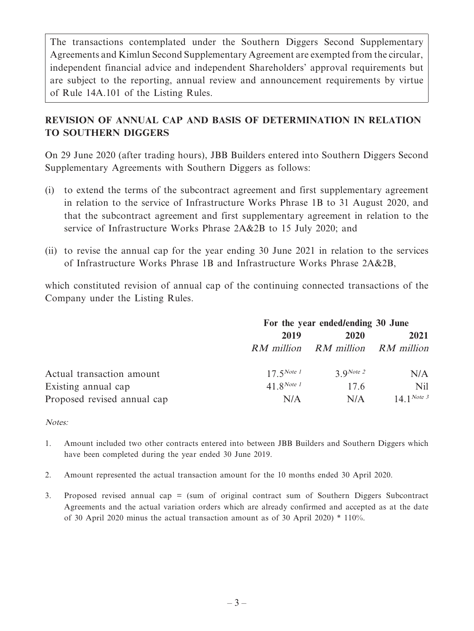The transactions contemplated under the Southern Diggers Second Supplementary Agreements and Kimlun Second Supplementary Agreement are exempted from the circular, independent financial advice and independent Shareholders' approval requirements but are subject to the reporting, annual review and announcement requirements by virtue of Rule 14A.101 of the Listing Rules.

## **REVISION OF ANNUAL CAP AND BASIS OF DETERMINATION IN RELATION TO SOUTHERN DIGGERS**

On 29 June 2020 (after trading hours), JBB Builders entered into Southern Diggers Second Supplementary Agreements with Southern Diggers as follows:

- (i) to extend the terms of the subcontract agreement and first supplementary agreement in relation to the service of Infrastructure Works Phrase 1B to 31 August 2020, and that the subcontract agreement and first supplementary agreement in relation to the service of Infrastructure Works Phrase 2A&2B to 15 July 2020; and
- (ii) to revise the annual cap for the year ending 30 June 2021 in relation to the services of Infrastructure Works Phrase 1B and Infrastructure Works Phrase 2A&2B,

which constituted revision of annual cap of the continuing connected transactions of the Company under the Listing Rules.

|                             | For the year ended/ending 30 June |                                  |               |
|-----------------------------|-----------------------------------|----------------------------------|---------------|
|                             | 2019                              | 2020                             | 2021          |
|                             |                                   | RM million RM million RM million |               |
| Actual transaction amount   | $17.5$ Note 1                     | $3.9$ Note 2                     | N/A           |
| Existing annual cap         | 41.8 <i>Note</i> 1                | 17.6                             | Nil           |
| Proposed revised annual cap | N/A                               | N/A                              | $14.1$ Note 3 |

#### Notes:

- 1. Amount included two other contracts entered into between JBB Builders and Southern Diggers which have been completed during the year ended 30 June 2019.
- 2. Amount represented the actual transaction amount for the 10 months ended 30 April 2020.
- 3. Proposed revised annual cap = (sum of original contract sum of Southern Diggers Subcontract Agreements and the actual variation orders which are already confirmed and accepted as at the date of 30 April 2020 minus the actual transaction amount as of 30 April 2020) \* 110%.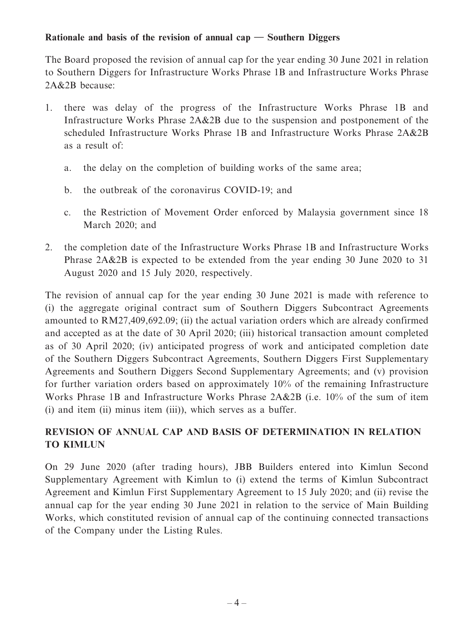#### **Rationale and basis of the revision of annual cap — Southern Diggers**

The Board proposed the revision of annual cap for the year ending 30 June 2021 in relation to Southern Diggers for Infrastructure Works Phrase 1B and Infrastructure Works Phrase 2A&2B because:

- 1. there was delay of the progress of the Infrastructure Works Phrase 1B and Infrastructure Works Phrase 2A&2B due to the suspension and postponement of the scheduled Infrastructure Works Phrase 1B and Infrastructure Works Phrase 2A&2B as a result of:
	- a. the delay on the completion of building works of the same area;
	- b. the outbreak of the coronavirus COVID-19; and
	- c. the Restriction of Movement Order enforced by Malaysia government since 18 March 2020; and
- 2. the completion date of the Infrastructure Works Phrase 1B and Infrastructure Works Phrase 2A&2B is expected to be extended from the year ending 30 June 2020 to 31 August 2020 and 15 July 2020, respectively.

The revision of annual cap for the year ending 30 June 2021 is made with reference to (i) the aggregate original contract sum of Southern Diggers Subcontract Agreements amounted to RM27,409,692.09; (ii) the actual variation orders which are already confirmed and accepted as at the date of 30 April 2020; (iii) historical transaction amount completed as of 30 April 2020; (iv) anticipated progress of work and anticipated completion date of the Southern Diggers Subcontract Agreements, Southern Diggers First Supplementary Agreements and Southern Diggers Second Supplementary Agreements; and (v) provision for further variation orders based on approximately 10% of the remaining Infrastructure Works Phrase 1B and Infrastructure Works Phrase 2A&2B (i.e. 10% of the sum of item (i) and item (ii) minus item (iii)), which serves as a buffer.

## **REVISION OF ANNUAL CAP AND BASIS OF DETERMINATION IN RELATION TO KIMLUN**

On 29 June 2020 (after trading hours), JBB Builders entered into Kimlun Second Supplementary Agreement with Kimlun to (i) extend the terms of Kimlun Subcontract Agreement and Kimlun First Supplementary Agreement to 15 July 2020; and (ii) revise the annual cap for the year ending 30 June 2021 in relation to the service of Main Building Works, which constituted revision of annual cap of the continuing connected transactions of the Company under the Listing Rules.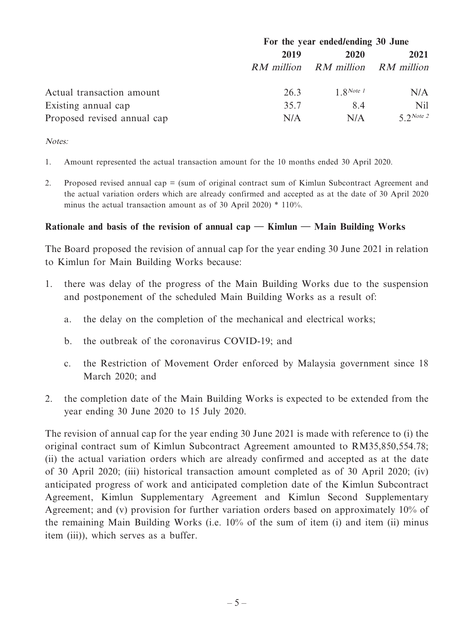|                             | For the year ended/ending 30 June |                                  |                |
|-----------------------------|-----------------------------------|----------------------------------|----------------|
|                             | 2019                              | 2020                             | 2021           |
|                             |                                   | RM million RM million RM million |                |
| Actual transaction amount   | 26.3                              | $1$ <i>RNote 1</i>               | N/A            |
| Existing annual cap         | 35.7                              | 8.4                              | Nil            |
| Proposed revised annual cap | N/A                               | N/A                              | $5$ $2$ Note 2 |

Notes:

- 1. Amount represented the actual transaction amount for the 10 months ended 30 April 2020.
- 2. Proposed revised annual cap = (sum of original contract sum of Kimlun Subcontract Agreement and the actual variation orders which are already confirmed and accepted as at the date of 30 April 2020 minus the actual transaction amount as of 30 April 2020) \* 110%.

#### **Rationale and basis of the revision of annual cap — Kimlun — Main Building Works**

The Board proposed the revision of annual cap for the year ending 30 June 2021 in relation to Kimlun for Main Building Works because:

- 1. there was delay of the progress of the Main Building Works due to the suspension and postponement of the scheduled Main Building Works as a result of:
	- a. the delay on the completion of the mechanical and electrical works;
	- b. the outbreak of the coronavirus COVID-19; and
	- c. the Restriction of Movement Order enforced by Malaysia government since 18 March 2020; and
- 2. the completion date of the Main Building Works is expected to be extended from the year ending 30 June 2020 to 15 July 2020.

The revision of annual cap for the year ending 30 June 2021 is made with reference to (i) the original contract sum of Kimlun Subcontract Agreement amounted to RM35,850,554.78; (ii) the actual variation orders which are already confirmed and accepted as at the date of 30 April 2020; (iii) historical transaction amount completed as of 30 April 2020; (iv) anticipated progress of work and anticipated completion date of the Kimlun Subcontract Agreement, Kimlun Supplementary Agreement and Kimlun Second Supplementary Agreement; and (v) provision for further variation orders based on approximately 10% of the remaining Main Building Works (i.e. 10% of the sum of item (i) and item (ii) minus item (iii)), which serves as a buffer.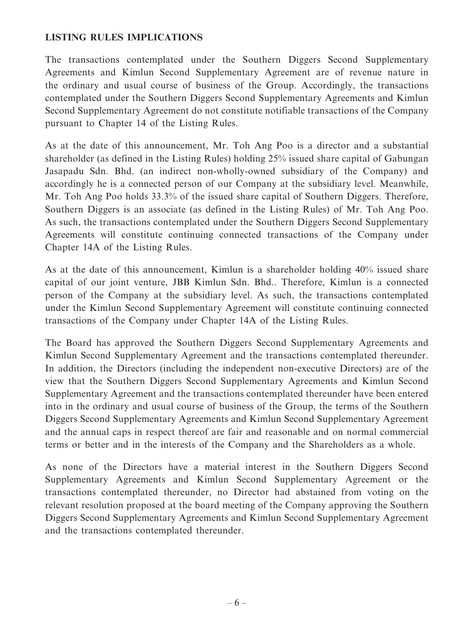#### **LISTING RULES IMPLICATIONS**

The transactions contemplated under the Southern Diggers Second Supplementary Agreements and Kimlun Second Supplementary Agreement are of revenue nature in the ordinary and usual course of business of the Group. Accordingly, the transactions contemplated under the Southern Diggers Second Supplementary Agreements and Kimlun Second Supplementary Agreement do not constitute notifiable transactions of the Company pursuant to Chapter 14 of the Listing Rules.

As at the date of this announcement, Mr. Toh Ang Poo is a director and a substantial shareholder (as defined in the Listing Rules) holding 25% issued share capital of Gabungan Jasapadu Sdn. Bhd. (an indirect non-wholly-owned subsidiary of the Company) and accordingly he is a connected person of our Company at the subsidiary level. Meanwhile, Mr. Toh Ang Poo holds 33.3% of the issued share capital of Southern Diggers. Therefore, Southern Diggers is an associate (as defined in the Listing Rules) of Mr. Toh Ang Poo. As such, the transactions contemplated under the Southern Diggers Second Supplementary Agreements will constitute continuing connected transactions of the Company under Chapter 14A of the Listing Rules.

As at the date of this announcement, Kimlun is a shareholder holding 40% issued share capital of our joint venture, JBB Kimlun Sdn. Bhd.. Therefore, Kimlun is a connected person of the Company at the subsidiary level. As such, the transactions contemplated under the Kimlun Second Supplementary Agreement will constitute continuing connected transactions of the Company under Chapter 14A of the Listing Rules.

The Board has approved the Southern Diggers Second Supplementary Agreements and Kimlun Second Supplementary Agreement and the transactions contemplated thereunder. In addition, the Directors (including the independent non-executive Directors) are of the view that the Southern Diggers Second Supplementary Agreements and Kimlun Second Supplementary Agreement and the transactions contemplated thereunder have been entered into in the ordinary and usual course of business of the Group, the terms of the Southern Diggers Second Supplementary Agreements and Kimlun Second Supplementary Agreement and the annual caps in respect thereof are fair and reasonable and on normal commercial terms or better and in the interests of the Company and the Shareholders as a whole.

As none of the Directors have a material interest in the Southern Diggers Second Supplementary Agreements and Kimlun Second Supplementary Agreement or the transactions contemplated thereunder, no Director had abstained from voting on the relevant resolution proposed at the board meeting of the Company approving the Southern Diggers Second Supplementary Agreements and Kimlun Second Supplementary Agreement and the transactions contemplated thereunder.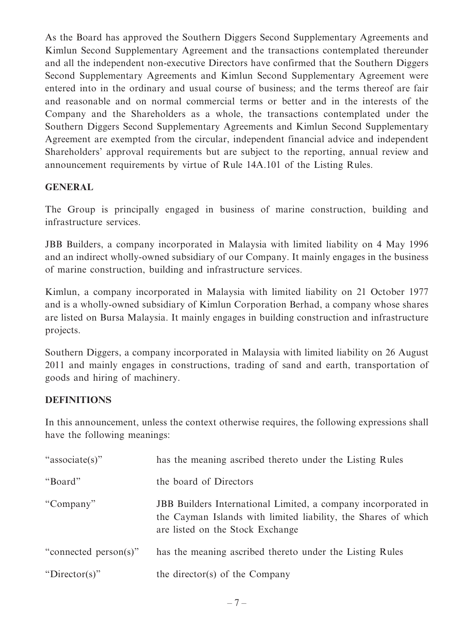As the Board has approved the Southern Diggers Second Supplementary Agreements and Kimlun Second Supplementary Agreement and the transactions contemplated thereunder and all the independent non-executive Directors have confirmed that the Southern Diggers Second Supplementary Agreements and Kimlun Second Supplementary Agreement were entered into in the ordinary and usual course of business; and the terms thereof are fair and reasonable and on normal commercial terms or better and in the interests of the Company and the Shareholders as a whole, the transactions contemplated under the Southern Diggers Second Supplementary Agreements and Kimlun Second Supplementary Agreement are exempted from the circular, independent financial advice and independent Shareholders' approval requirements but are subject to the reporting, annual review and announcement requirements by virtue of Rule 14A.101 of the Listing Rules.

#### **GENERAL**

The Group is principally engaged in business of marine construction, building and infrastructure services.

JBB Builders, a company incorporated in Malaysia with limited liability on 4 May 1996 and an indirect wholly-owned subsidiary of our Company. It mainly engages in the business of marine construction, building and infrastructure services.

Kimlun, a company incorporated in Malaysia with limited liability on 21 October 1977 and is a wholly-owned subsidiary of Kimlun Corporation Berhad, a company whose shares are listed on Bursa Malaysia. It mainly engages in building construction and infrastructure projects.

Southern Diggers, a company incorporated in Malaysia with limited liability on 26 August 2011 and mainly engages in constructions, trading of sand and earth, transportation of goods and hiring of machinery.

### **DEFINITIONS**

In this announcement, unless the context otherwise requires, the following expressions shall have the following meanings:

| "associate(s)"        | has the meaning ascribed thereto under the Listing Rules                                                                                                            |
|-----------------------|---------------------------------------------------------------------------------------------------------------------------------------------------------------------|
| "Board"               | the board of Directors                                                                                                                                              |
| "Company"             | JBB Builders International Limited, a company incorporated in<br>the Cayman Islands with limited liability, the Shares of which<br>are listed on the Stock Exchange |
| "connected person(s)" | has the meaning ascribed thereto under the Listing Rules                                                                                                            |
| "Director(s)"         | the director(s) of the Company                                                                                                                                      |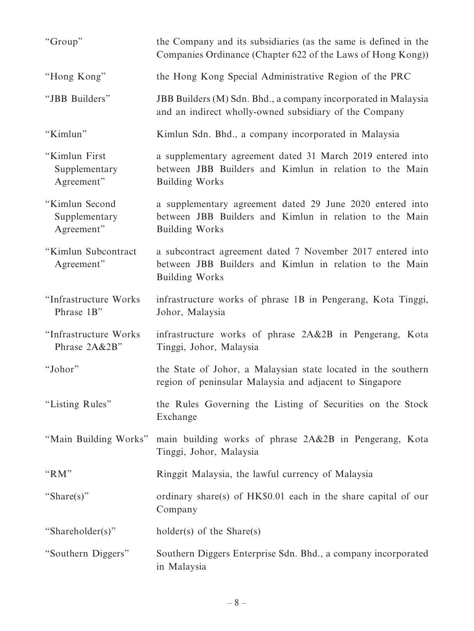| "Group"                                       | the Company and its subsidiaries (as the same is defined in the<br>Companies Ordinance (Chapter 622 of the Laws of Hong Kong))                 |
|-----------------------------------------------|------------------------------------------------------------------------------------------------------------------------------------------------|
| "Hong Kong"                                   | the Hong Kong Special Administrative Region of the PRC                                                                                         |
| "JBB Builders"                                | JBB Builders (M) Sdn. Bhd., a company incorporated in Malaysia<br>and an indirect wholly-owned subsidiary of the Company                       |
| "Kimlun"                                      | Kimlun Sdn. Bhd., a company incorporated in Malaysia                                                                                           |
| "Kimlun First<br>Supplementary<br>Agreement"  | a supplementary agreement dated 31 March 2019 entered into<br>between JBB Builders and Kimlun in relation to the Main<br><b>Building Works</b> |
| "Kimlun Second<br>Supplementary<br>Agreement" | a supplementary agreement dated 29 June 2020 entered into<br>between JBB Builders and Kimlun in relation to the Main<br><b>Building Works</b>  |
| "Kimlun Subcontract<br>Agreement"             | a subcontract agreement dated 7 November 2017 entered into<br>between JBB Builders and Kimlun in relation to the Main<br><b>Building Works</b> |
| "Infrastructure Works<br>Phrase 1B"           | infrastructure works of phrase 1B in Pengerang, Kota Tinggi,<br>Johor, Malaysia                                                                |
| "Infrastructure Works<br>Phrase 2A&2B"        | infrastructure works of phrase 2A&2B in Pengerang, Kota<br>Tinggi, Johor, Malaysia                                                             |
| "Johor"                                       | the State of Johor, a Malaysian state located in the southern<br>region of peninsular Malaysia and adjacent to Singapore                       |
| "Listing Rules"                               | the Rules Governing the Listing of Securities on the Stock<br>Exchange                                                                         |
| "Main Building Works"                         | main building works of phrase 2A&2B in Pengerang, Kota<br>Tinggi, Johor, Malaysia                                                              |
| " $RM"$                                       | Ringgit Malaysia, the lawful currency of Malaysia                                                                                              |
| "Share(s)"                                    | ordinary share(s) of HK\$0.01 each in the share capital of our<br>Company                                                                      |
| "Shareholder(s)"                              | $holder(s)$ of the Share(s)                                                                                                                    |
| "Southern Diggers"                            | Southern Diggers Enterprise Sdn. Bhd., a company incorporated<br>in Malaysia                                                                   |